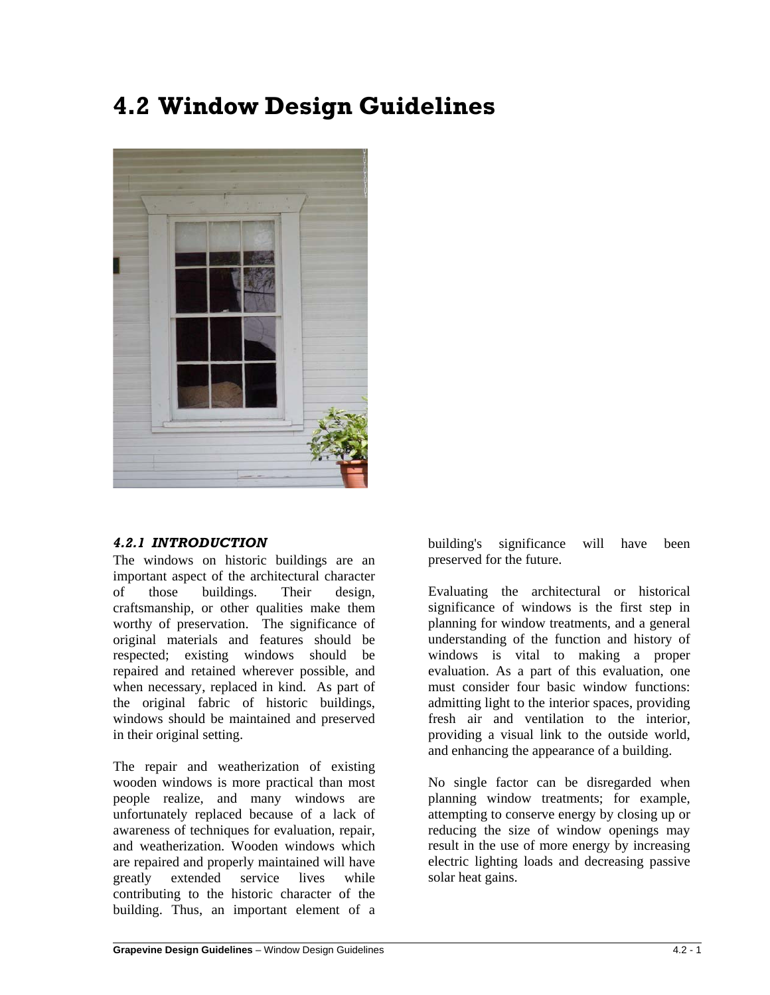# **4.2 Window Design Guidelines**



## *4.2.1 INTRODUCTION*

The windows on historic buildings are an important aspect of the architectural character of those buildings. Their design, craftsmanship, or other qualities make them worthy of preservation. The significance of original materials and features should be respected; existing windows should be repaired and retained wherever possible, and when necessary, replaced in kind. As part of the original fabric of historic buildings, windows should be maintained and preserved in their original setting.

The repair and weatherization of existing wooden windows is more practical than most people realize, and many windows are unfortunately replaced because of a lack of awareness of techniques for evaluation, repair, and weatherization. Wooden windows which are repaired and properly maintained will have greatly extended service lives while contributing to the historic character of the building. Thus, an important element of a building's significance will have been preserved for the future.

Evaluating the architectural or historical significance of windows is the first step in planning for window treatments, and a general understanding of the function and history of windows is vital to making a proper evaluation. As a part of this evaluation, one must consider four basic window functions: admitting light to the interior spaces, providing fresh air and ventilation to the interior, providing a visual link to the outside world, and enhancing the appearance of a building.

No single factor can be disregarded when planning window treatments; for example, attempting to conserve energy by closing up or reducing the size of window openings may result in the use of more energy by increasing electric lighting loads and decreasing passive solar heat gains.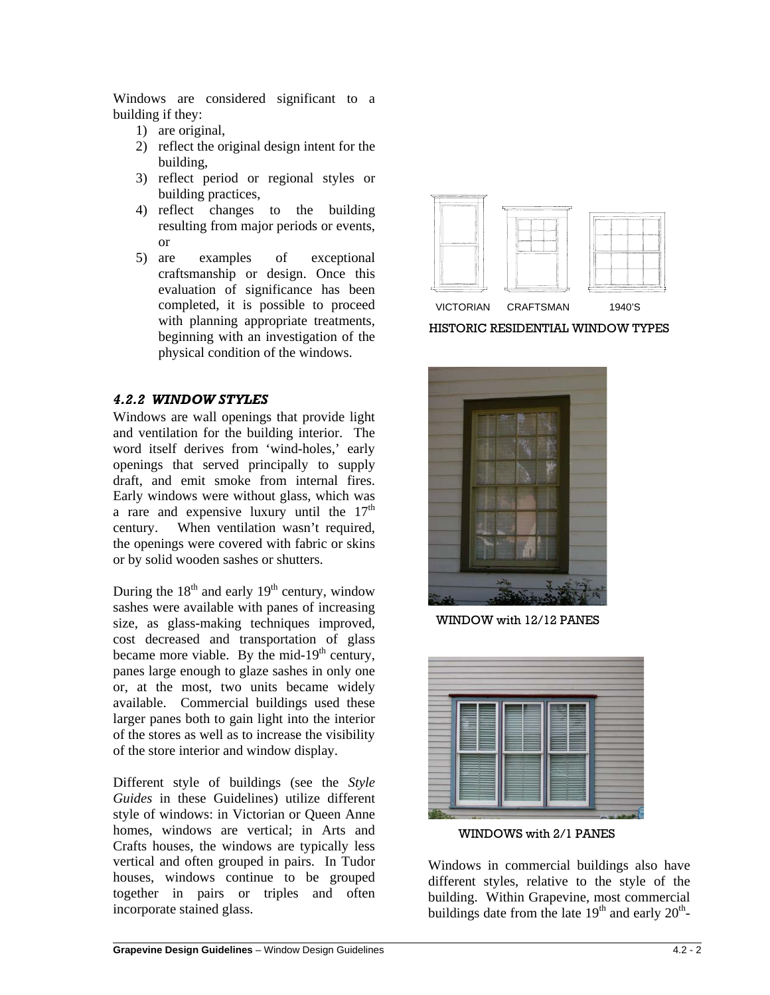Windows are considered significant to a building if they:

- 1) are original,
- 2) reflect the original design intent for the building,
- 3) reflect period or regional styles or building practices,
- 4) reflect changes to the building resulting from major periods or events, or
- 5) are examples of exceptional craftsmanship or design. Once this evaluation of significance has been completed, it is possible to proceed with planning appropriate treatments, beginning with an investigation of the physical condition of the windows.

## *4.2.2 WINDOW STYLES*

Windows are wall openings that provide light and ventilation for the building interior. The word itself derives from 'wind-holes,' early openings that served principally to supply draft, and emit smoke from internal fires. Early windows were without glass, which was a rare and expensive luxury until the  $17<sup>th</sup>$ century. When ventilation wasn't required, the openings were covered with fabric or skins or by solid wooden sashes or shutters.

During the  $18<sup>th</sup>$  and early  $19<sup>th</sup>$  century, window sashes were available with panes of increasing size, as glass-making techniques improved, cost decreased and transportation of glass became more viable. By the mid-19<sup>th</sup> century, panes large enough to glaze sashes in only one or, at the most, two units became widely available. Commercial buildings used these larger panes both to gain light into the interior of the stores as well as to increase the visibility of the store interior and window display.

Different style of buildings (see the *Style Guides* in these Guidelines) utilize different style of windows: in Victorian or Queen Anne homes, windows are vertical; in Arts and Crafts houses, the windows are typically less vertical and often grouped in pairs. In Tudor houses, windows continue to be grouped together in pairs or triples and often incorporate stained glass.



HISTORIC RESIDENTIAL WINDOW TYPES



WINDOW with 12/12 PANES



WINDOWS with 2/1 PANES

Windows in commercial buildings also have different styles, relative to the style of the building. Within Grapevine, most commercial buildings date from the late  $19<sup>th</sup>$  and early  $20<sup>th</sup>$ -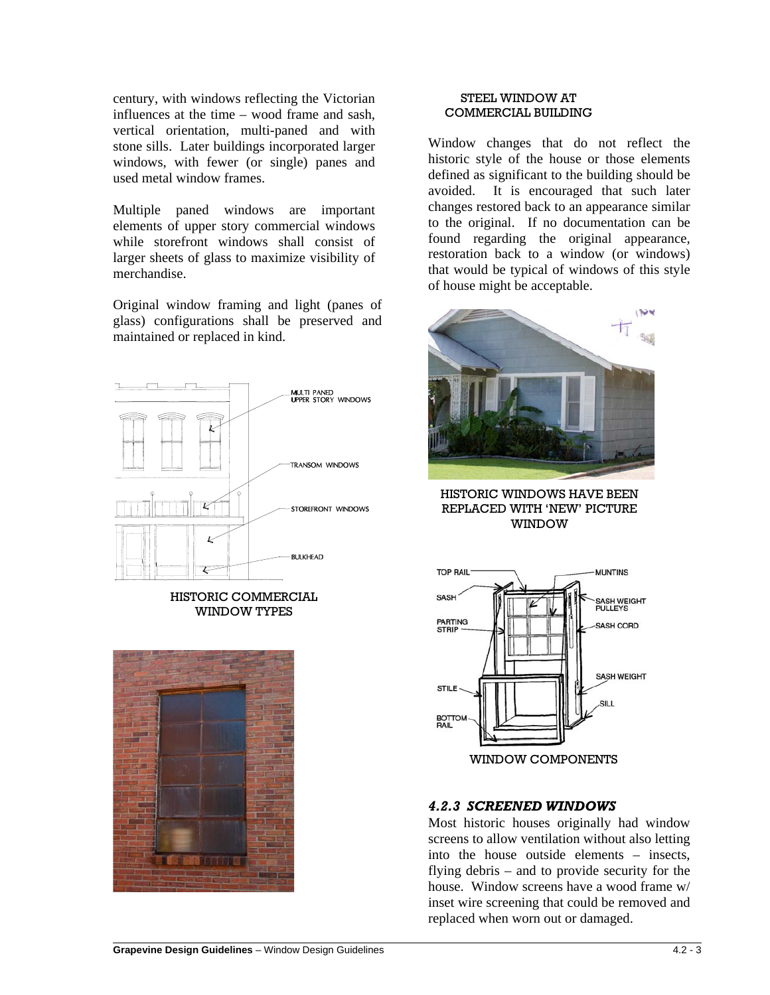century, with windows reflecting the Victorian influences at the time – wood frame and sash, vertical orientation, multi-paned and with stone sills. Later buildings incorporated larger windows, with fewer (or single) panes and used metal window frames.

Multiple paned windows are important elements of upper story commercial windows while storefront windows shall consist of larger sheets of glass to maximize visibility of merchandise.

Original window framing and light (panes of glass) configurations shall be preserved and maintained or replaced in kind.





#### STEEL WINDOW AT COMMERCIAL BUILDING

Window changes that do not reflect the historic style of the house or those elements defined as significant to the building should be avoided. It is encouraged that such later changes restored back to an appearance similar to the original. If no documentation can be found regarding the original appearance, restoration back to a window (or windows) that would be typical of windows of this style of house might be acceptable.



HISTORIC WINDOWS HAVE BEEN REPLACED WITH 'NEW' PICTURE WINDOW



# *4.2.3 SCREENED WINDOWS*

Most historic houses originally had window screens to allow ventilation without also letting into the house outside elements – insects, flying debris – and to provide security for the house. Window screens have a wood frame w/ inset wire screening that could be removed and replaced when worn out or damaged.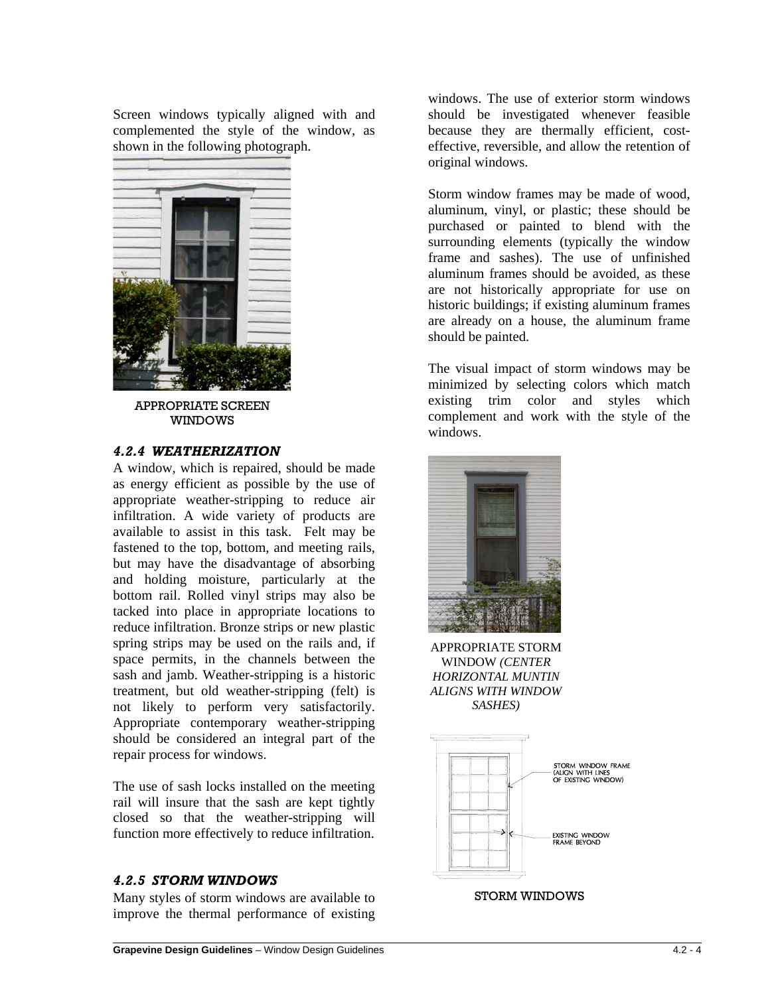Screen windows typically aligned with and complemented the style of the window, as shown in the following photograph.



APPROPRIATE SCREEN WINDOWS

### *4.2.4 WEATHERIZATION*

A window, which is repaired, should be made as energy efficient as possible by the use of appropriate weather-stripping to reduce air infiltration. A wide variety of products are available to assist in this task. Felt may be fastened to the top, bottom, and meeting rails, but may have the disadvantage of absorbing and holding moisture, particularly at the bottom rail. Rolled vinyl strips may also be tacked into place in appropriate locations to reduce infiltration. Bronze strips or new plastic spring strips may be used on the rails and, if space permits, in the channels between the sash and jamb. Weather-stripping is a historic treatment, but old weather-stripping (felt) is not likely to perform very satisfactorily. Appropriate contemporary weather-stripping should be considered an integral part of the repair process for windows.

The use of sash locks installed on the meeting rail will insure that the sash are kept tightly closed so that the weather-stripping will function more effectively to reduce infiltration.

### *4.2.5 STORM WINDOWS*

Many styles of storm windows are available to improve the thermal performance of existing windows. The use of exterior storm windows should be investigated whenever feasible because they are thermally efficient, costeffective, reversible, and allow the retention of original windows.

Storm window frames may be made of wood, aluminum, vinyl, or plastic; these should be purchased or painted to blend with the surrounding elements (typically the window frame and sashes). The use of unfinished aluminum frames should be avoided, as these are not historically appropriate for use on historic buildings; if existing aluminum frames are already on a house, the aluminum frame should be painted.

The visual impact of storm windows may be minimized by selecting colors which match existing trim color and styles which complement and work with the style of the windows.



APPROPRIATE STORM WINDOW *(CENTER HORIZONTAL MUNTIN ALIGNS WITH WINDOW SASHES)*



STORM WINDOWS